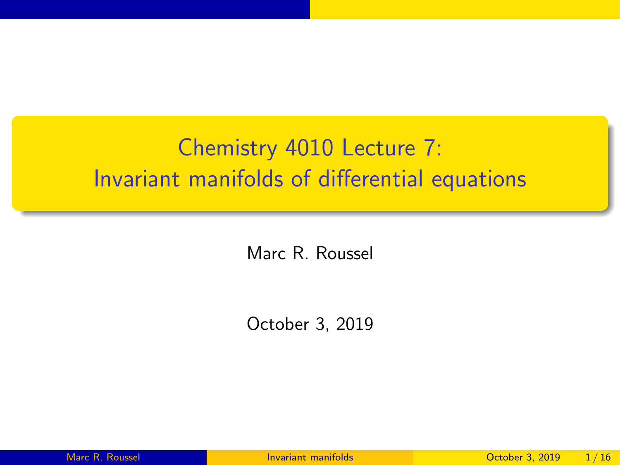## <span id="page-0-0"></span>Chemistry 4010 Lecture 7: Invariant manifolds of differential equations

Marc R. Roussel

October 3, 2019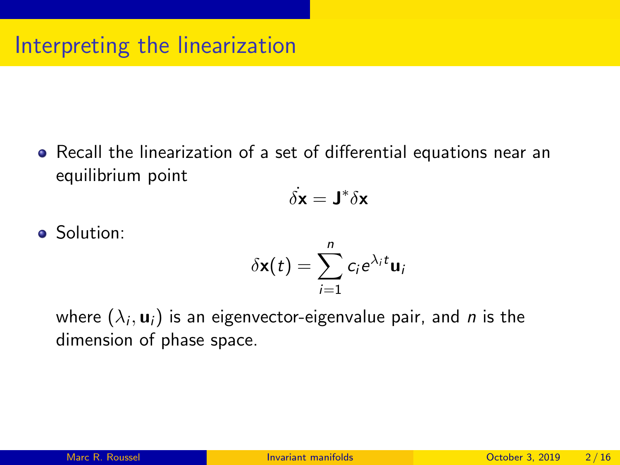Recall the linearization of a set of differential equations near an equilibrium point

$$
\dot{\delta {\bf x}} = {\bf J}^* \delta {\bf x}
$$

**•** Solution:

$$
\delta \mathbf{x}(t) = \sum_{i=1}^n c_i e^{\lambda_i t} \mathbf{u}_i
$$

where  $(\lambda_i, \mathbf{u}_i)$  is an eigenvector-eigenvalue pair, and  $\emph{n}$  is the dimension of phase space.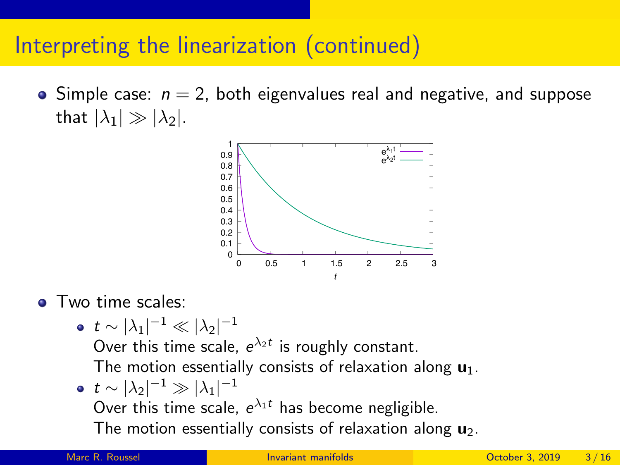### Interpreting the linearization (continued)

 $\bullet$  Simple case:  $n = 2$ , both eigenvalues real and negative, and suppose that  $|\lambda_1| \gg |\lambda_2|$ .



**o** Two time scales:

• 
$$
t \sim |\lambda_1|^{-1} \ll |\lambda_2|^{-1}
$$
  
Over this time scale,  $e^{\lambda_2 t}$  is re

Over this time scale,  $e^{\lambda_2 t}$  is roughly constant.

The motion essentially consists of relaxation along  $\mathbf{u}_1$ .

 $t\sim |\lambda_2|^{-1}\gg |\lambda_1|^{-1}$ Over this time scale,  $e^{\lambda_1 t}$  has become negligible. The motion essentially consists of relaxation along  $\mathbf{u}_2$ .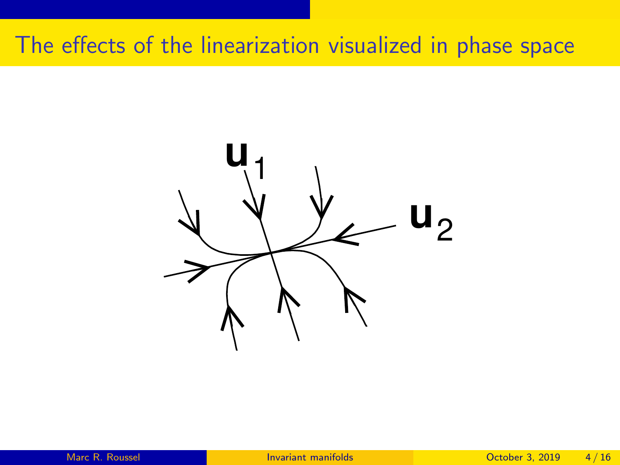## The effects of the linearization visualized in phase space

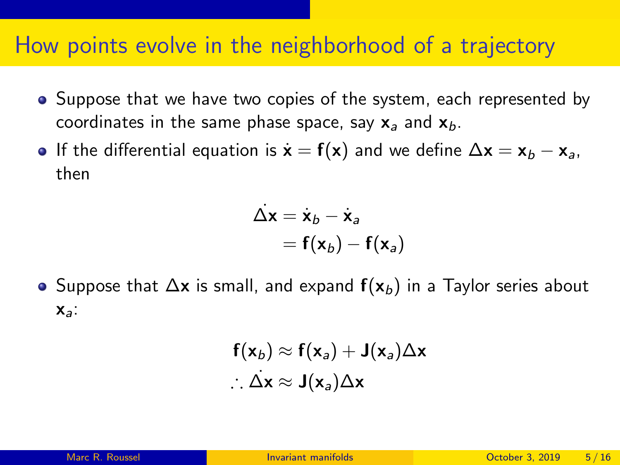#### How points evolve in the neighborhood of a trajectory

- Suppose that we have two copies of the system, each represented by coordinates in the same phase space, say  $x_a$  and  $x_b$ .
- **•** If the differential equation is  $\dot{\mathbf{x}} = \mathbf{f}(\mathbf{x})$  and we define  $\Delta \mathbf{x} = \mathbf{x}_b \mathbf{x}_a$ , then

$$
\overline{\Delta x} = \dot{x}_b - \dot{x}_a
$$

$$
= f(x_b) - f(x_a)
$$

 $\bullet$  Suppose that  $\Delta x$  is small, and expand  $f(x_b)$  in a Taylor series about  $x_a$ :

$$
f(x_b) \approx f(x_a) + J(x_a) \Delta x
$$
  
 $\therefore \Delta x \approx J(x_a) \Delta x$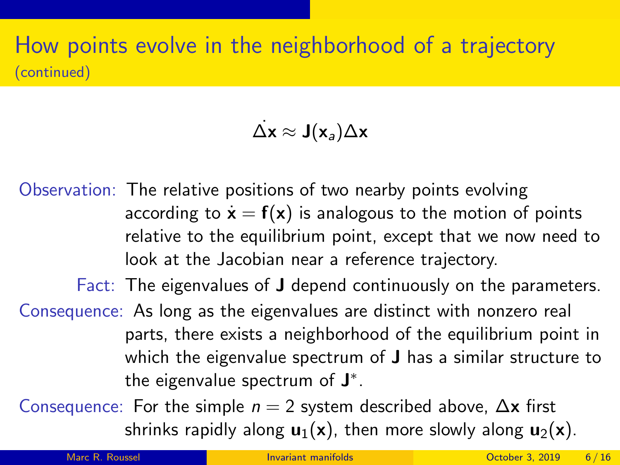#### How points evolve in the neighborhood of a trajectory (continued)

#### $\Delta$ x ≈ J(x<sub>a</sub>) $\Delta$ x

Observation: The relative positions of two nearby points evolving according to  $\dot{\mathbf{x}} = \mathbf{f}(\mathbf{x})$  is analogous to the motion of points relative to the equilibrium point, except that we now need to look at the Jacobian near a reference trajectory.

Fact: The eigenvalues of J depend continuously on the parameters.

Consequence: As long as the eigenvalues are distinct with nonzero real parts, there exists a neighborhood of the equilibrium point in which the eigenvalue spectrum of **J** has a similar structure to the eigenvalue spectrum of  $J^*$ .

Consequence: For the simple  $n = 2$  system described above,  $\Delta x$  first shrinks rapidly along  $u_1(x)$ , then more slowly along  $u_2(x)$ .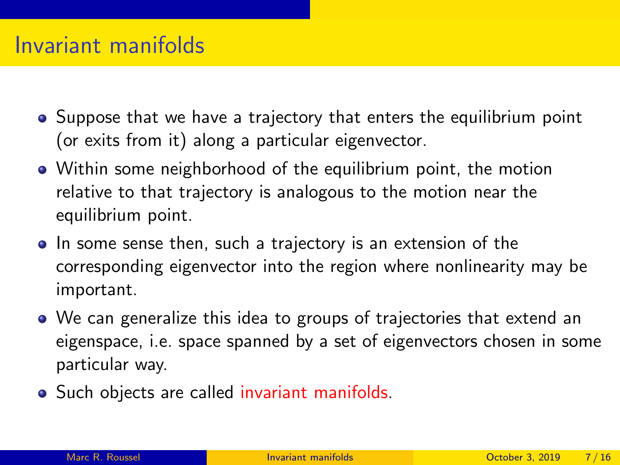#### Invariant manifolds

- Suppose that we have a trajectory that enters the equilibrium point (or exits from it) along a particular eigenvector.
- Within some neighborhood of the equilibrium point, the motion relative to that trajectory is analogous to the motion near the equilibrium point.
- In some sense then, such a trajectory is an extension of the corresponding eigenvector into the region where nonlinearity may be important.
- We can generalize this idea to groups of trajectories that extend an eigenspace, i.e. space spanned by a set of eigenvectors chosen in some particular way.
- Such objects are called invariant manifolds.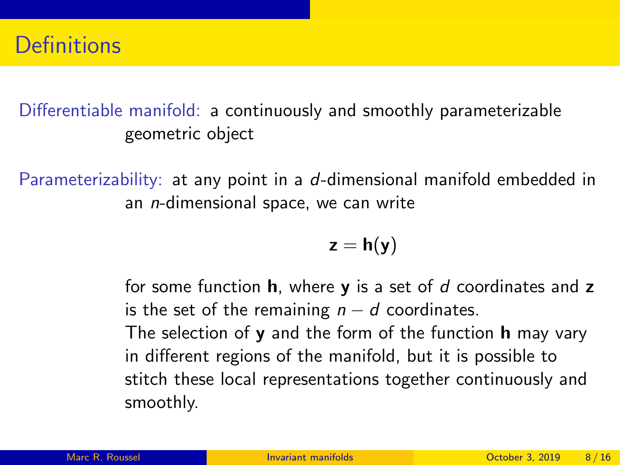Differentiable manifold: a continuously and smoothly parameterizable geometric object

Parameterizability: at any point in a d-dimensional manifold embedded in an n-dimensional space, we can write

$$
z=h(y)
$$

for some function  $h$ , where  $y$  is a set of  $d$  coordinates and  $z$ is the set of the remaining  $n - d$  coordinates. The selection of  $\bf{v}$  and the form of the function **h** may vary in different regions of the manifold, but it is possible to stitch these local representations together continuously and smoothly.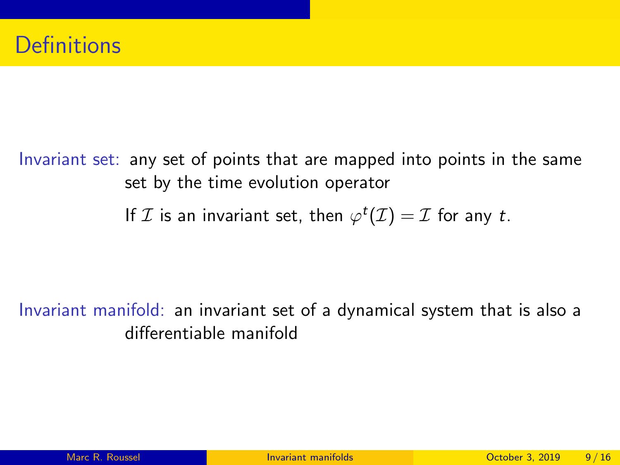Invariant set: any set of points that are mapped into points in the same set by the time evolution operator

If  $\mathcal I$  is an invariant set, then  $\varphi^t(\mathcal I)=\mathcal I$  for any  $t.$ 

Invariant manifold: an invariant set of a dynamical system that is also a differentiable manifold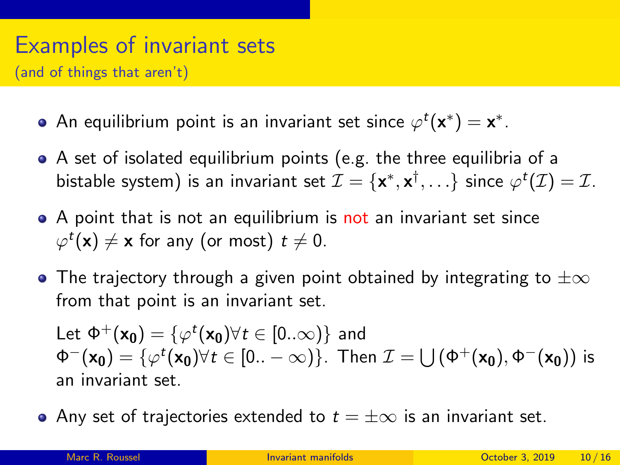# Examples of invariant sets

(and of things that aren't)

- An equilibrium point is an invariant set since  $\varphi^t(\mathsf{x}^*)=\mathsf{x}^*.$
- A set of isolated equilibrium points (e.g. the three equilibria of a bistable system) is an invariant set  $\mathcal{I}=\{\mathsf{x}^*,\mathsf{x}^\dagger,\ldots\}$  since  $\varphi^t(\mathcal{I})=\mathcal{I}.$
- A point that is not an equilibrium is not an invariant set since  $\varphi^{\it t}(\mathsf{x})\neq\mathsf{x}$  for any (or most)  $t\neq0.$
- $\bullet$  The trajectory through a given point obtained by integrating to  $\pm \infty$ from that point is an invariant set.

Let  $\Phi^+({\mathsf{x}}_0) = \{\varphi^t({\mathsf{x}}_0) \forall t\in[0..\infty)\}$  and  $\Phi^-(\mathsf{x_0})=\{\varphi^t(\mathsf{x_0}) \forall t\in[0..-\infty)\}.$  Then  $\mathcal{I}=\bigcup \left(\Phi^+(\mathsf{x_0}),\Phi^-(\mathsf{x_0})\right)$  is an invariant set.

• Any set of trajectories extended to  $t = \pm \infty$  is an invariant set.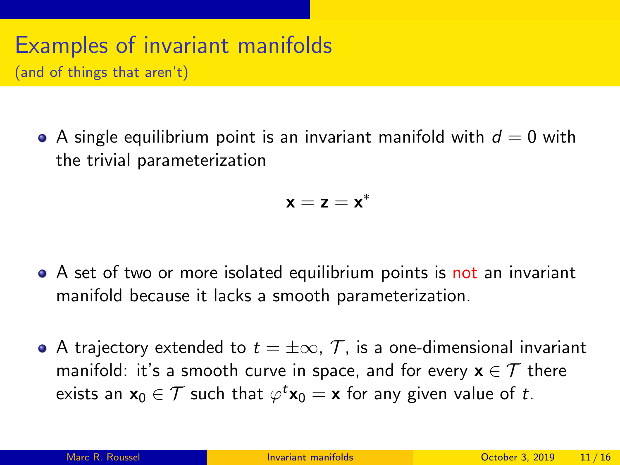## Examples of invariant manifolds

(and of things that aren't)

A single equilibrium point is an invariant manifold with  $d = 0$  with the trivial parameterization

$$
\mathbf{x}=\mathbf{z}=\mathbf{x}^*
$$

- A set of two or more isolated equilibrium points is not an invariant manifold because it lacks a smooth parameterization.
- A trajectory extended to  $t = \pm \infty$ ,  $\mathcal{T}$ , is a one-dimensional invariant manifold: it's a smooth curve in space, and for every  $x \in \mathcal{T}$  there exists an  $\mathsf{x}_0\in\mathcal{T}$  such that  $\varphi^t\mathsf{x}_0=\mathsf{x}$  for any given value of  $t.$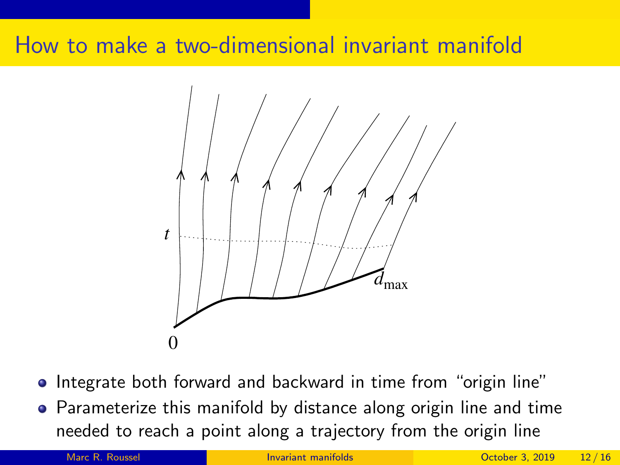## How to make a two-dimensional invariant manifold



- Integrate both forward and backward in time from "origin line"
- Parameterize this manifold by distance along origin line and time needed to reach a point along a trajectory from the origin line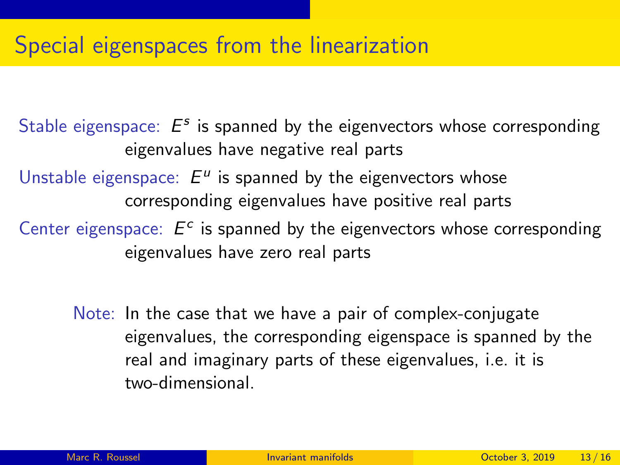### Special eigenspaces from the linearization

Stable eigenspace:  $E^s$  is spanned by the eigenvectors whose corresponding eigenvalues have negative real parts Unstable eigenspace:  $E^u$  is spanned by the eigenvectors whose corresponding eigenvalues have positive real parts Center eigenspace:  $E^c$  is spanned by the eigenvectors whose corresponding eigenvalues have zero real parts

Note: In the case that we have a pair of complex-conjugate eigenvalues, the corresponding eigenspace is spanned by the real and imaginary parts of these eigenvalues, i.e. it is two-dimensional.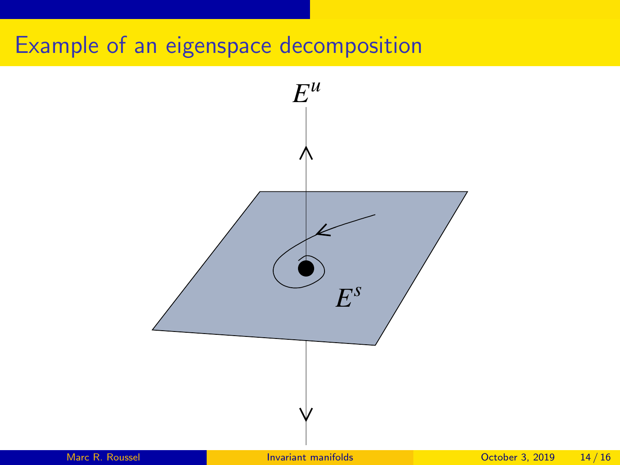## Example of an eigenspace decomposition

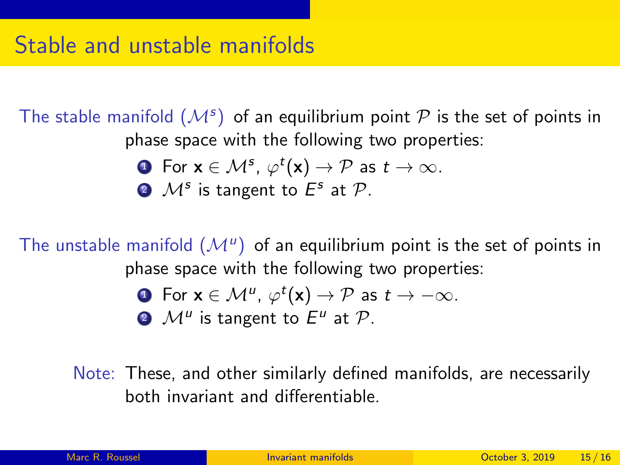The stable manifold  $(\mathcal{M}^s)$  of an equilibrium point  $\mathcal P$  is the set of points in phase space with the following two properties:

• For 
$$
\mathbf{x} \in \mathcal{M}^s
$$
,  $\varphi^t(\mathbf{x}) \to \mathcal{P}$  as  $t \to \infty$ .

**2**  $\mathcal{M}^s$  is tangent to  $E^s$  at  $\mathcal{P}$ .

The unstable manifold  $(\mathcal{M}^u)$  of an equilibrium point is the set of points in phase space with the following two properties:

\n- **0** For 
$$
\mathbf{x} \in \mathcal{M}^u
$$
,  $\varphi^t(\mathbf{x}) \to \mathcal{P}$  as  $t \to -\infty$ .
\n- **0**  $\mathcal{M}^u$  is tangent to  $E^u$  at  $\mathcal{P}$ .
\n

Note: These, and other similarly defined manifolds, are necessarily both invariant and differentiable.